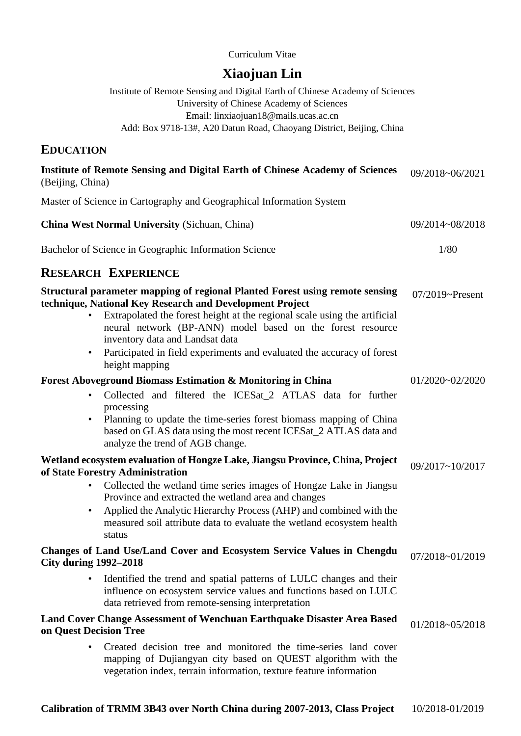### Curriculum Vitae

# **Xiaojuan Lin**

Institute of Remote Sensing and Digital Earth of Chinese Academy of Sciences University of Chinese Academy of Sciences Email: linxiaojuan18@mails.ucas.ac.cn Add: Box 9718-13#, A20 Datun Road, Chaoyang District, Beijing, China

## **EDUCATION**

| <b>Institute of Remote Sensing and Digital Earth of Chinese Academy of Sciences</b><br>(Beijing, China)                                                                                                                                                                                                                                                                                                                                      | 09/2018~06/2021     |
|----------------------------------------------------------------------------------------------------------------------------------------------------------------------------------------------------------------------------------------------------------------------------------------------------------------------------------------------------------------------------------------------------------------------------------------------|---------------------|
| Master of Science in Cartography and Geographical Information System                                                                                                                                                                                                                                                                                                                                                                         |                     |
| <b>China West Normal University (Sichuan, China)</b>                                                                                                                                                                                                                                                                                                                                                                                         | 09/2014~08/2018     |
| Bachelor of Science in Geographic Information Science                                                                                                                                                                                                                                                                                                                                                                                        | 1/80                |
| <b>RESEARCH EXPERIENCE</b>                                                                                                                                                                                                                                                                                                                                                                                                                   |                     |
| Structural parameter mapping of regional Planted Forest using remote sensing<br>technique, National Key Research and Development Project<br>Extrapolated the forest height at the regional scale using the artificial<br>$\bullet$<br>neural network (BP-ANN) model based on the forest resource<br>inventory data and Landsat data<br>Participated in field experiments and evaluated the accuracy of forest<br>$\bullet$<br>height mapping | $07/2019$ ~Present  |
| <b>Forest Aboveground Biomass Estimation &amp; Monitoring in China</b>                                                                                                                                                                                                                                                                                                                                                                       | $01/2020 - 02/2020$ |
| Collected and filtered the ICESat_2 ATLAS data for further<br>$\bullet$<br>processing<br>Planning to update the time-series forest biomass mapping of China<br>$\bullet$<br>based on GLAS data using the most recent ICESat_2 ATLAS data and<br>analyze the trend of AGB change.                                                                                                                                                             |                     |
| Wetland ecosystem evaluation of Hongze Lake, Jiangsu Province, China, Project                                                                                                                                                                                                                                                                                                                                                                | 09/2017~10/2017     |
| of State Forestry Administration<br>Collected the wetland time series images of Hongze Lake in Jiangsu<br>$\bullet$<br>Province and extracted the wetland area and changes<br>Applied the Analytic Hierarchy Process (AHP) and combined with the<br>$\bullet$<br>measured soil attribute data to evaluate the wetland ecosystem health<br>status                                                                                             |                     |
| Changes of Land Use/Land Cover and Ecosystem Service Values in Chengdu<br><b>City during 1992–2018</b>                                                                                                                                                                                                                                                                                                                                       | 07/2018~01/2019     |
| Identified the trend and spatial patterns of LULC changes and their<br>$\bullet$<br>influence on ecosystem service values and functions based on LULC<br>data retrieved from remote-sensing interpretation                                                                                                                                                                                                                                   |                     |
| Land Cover Change Assessment of Wenchuan Earthquake Disaster Area Based<br>on Quest Decision Tree                                                                                                                                                                                                                                                                                                                                            | 01/2018~05/2018     |
| Created decision tree and monitored the time-series land cover<br>$\bullet$<br>mapping of Dujiangyan city based on QUEST algorithm with the<br>vegetation index, terrain information, texture feature information                                                                                                                                                                                                                            |                     |